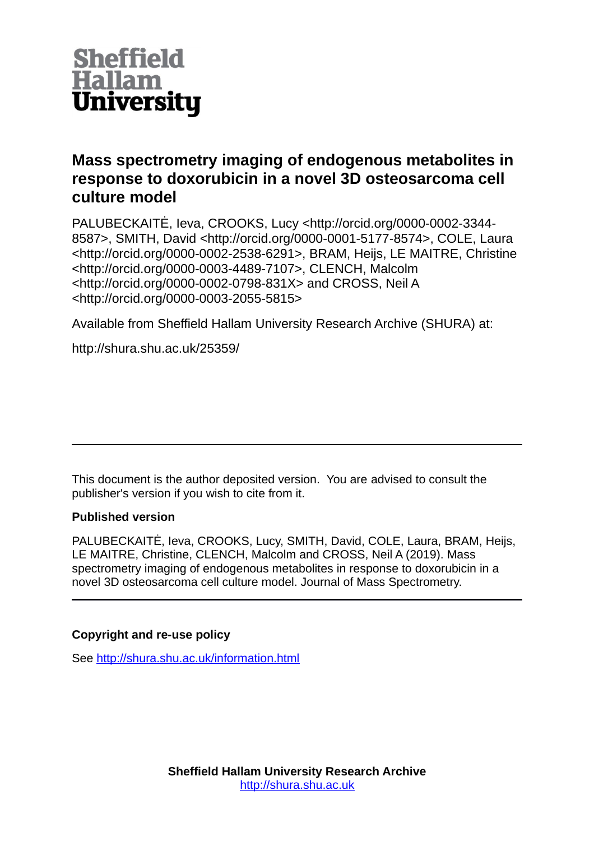

# **Mass spectrometry imaging of endogenous metabolites in response to doxorubicin in a novel 3D osteosarcoma cell culture model**

PALUBECKAITĖ, Ieva, CROOKS, Lucy <http://orcid.org/0000-0002-3344- 8587>, SMITH, David <http://orcid.org/0000-0001-5177-8574>, COLE, Laura <http://orcid.org/0000-0002-2538-6291>, BRAM, Heijs, LE MAITRE, Christine <http://orcid.org/0000-0003-4489-7107>, CLENCH, Malcolm <http://orcid.org/0000-0002-0798-831X> and CROSS, Neil A <http://orcid.org/0000-0003-2055-5815>

Available from Sheffield Hallam University Research Archive (SHURA) at:

http://shura.shu.ac.uk/25359/

This document is the author deposited version. You are advised to consult the publisher's version if you wish to cite from it.

## **Published version**

PALUBECKAITĖ, Ieva, CROOKS, Lucy, SMITH, David, COLE, Laura, BRAM, Heijs, LE MAITRE, Christine, CLENCH, Malcolm and CROSS, Neil A (2019). Mass spectrometry imaging of endogenous metabolites in response to doxorubicin in a novel 3D osteosarcoma cell culture model. Journal of Mass Spectrometry.

## **Copyright and re-use policy**

See<http://shura.shu.ac.uk/information.html>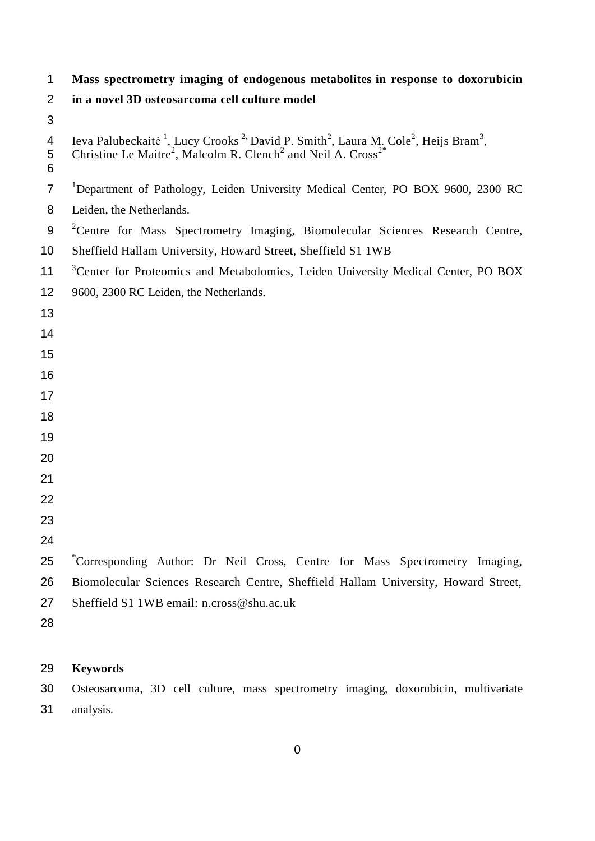### **Mass spectrometry imaging of endogenous metabolites in response to doxorubicin**

- **in a novel 3D osteosarcoma cell culture model**
- 

```
4 Ieva Palubeckaitė<sup>1</sup>, Lucy Crooks<sup>2,</sup> David P. Smith<sup>2</sup>, Laura M. Cole<sup>2</sup>, Heijs Bram<sup>3</sup>,
      Christine Le Maitre<sup>2</sup>, Malcolm R. Clench<sup>2</sup> and Neil A. Cross<sup>2*</sup>
 5
 6
 <sup>1</sup>Department of Pathology, Leiden University Medical Center, PO BOX 9600, 2300 RC
 8 Leiden, the Netherlands.
 9 <sup>2</sup>Centre for Mass Spectrometry Imaging, Biomolecular Sciences Research Centre,
10 Sheffield Hallam University, Howard Street, Sheffield S1 1WB
<sup>3</sup> Center for Proteomics and Metabolomics, Leiden University Medical Center, PO BOX
12 9600, 2300 RC Leiden, the Netherlands.
13
14
15
16
17
18
19
20
21
22
23
24
25 <sup>*</sup>Corresponding Author: Dr Neil Cross, Centre for Mass Spectrometry Imaging,
26 Biomolecular Sciences Research Centre, Sheffield Hallam University, Howard Street, 
27 Sheffield S1 1WB email: n.cross@shu.ac.uk
28
```
## **Keywords**

 Osteosarcoma, 3D cell culture, mass spectrometry imaging, doxorubicin, multivariate analysis.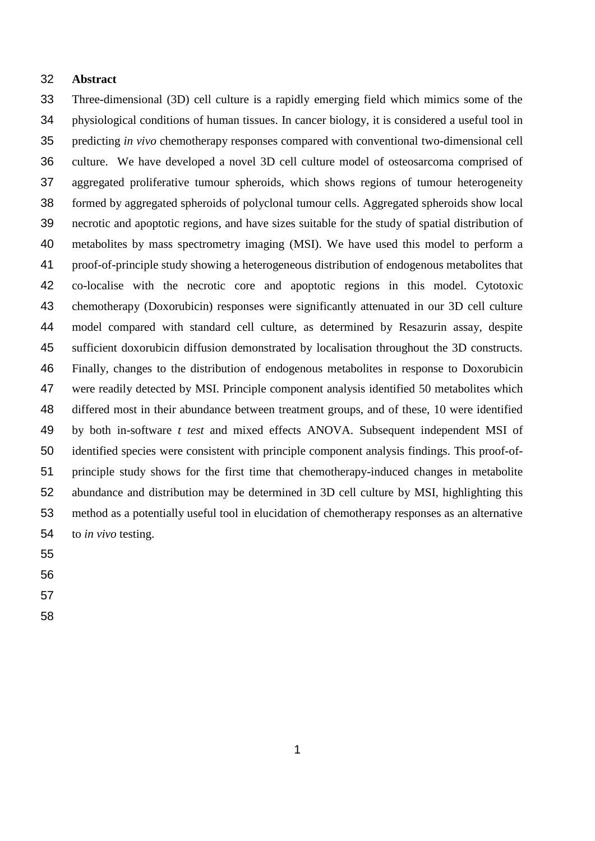### **Abstract**

 Three-dimensional (3D) cell culture is a rapidly emerging field which mimics some of the physiological conditions of human tissues. In cancer biology, it is considered a useful tool in predicting *in vivo* chemotherapy responses compared with conventional two-dimensional cell culture. We have developed a novel 3D cell culture model of osteosarcoma comprised of aggregated proliferative tumour spheroids, which shows regions of tumour heterogeneity formed by aggregated spheroids of polyclonal tumour cells. Aggregated spheroids show local necrotic and apoptotic regions, and have sizes suitable for the study of spatial distribution of metabolites by mass spectrometry imaging (MSI). We have used this model to perform a proof-of-principle study showing a heterogeneous distribution of endogenous metabolites that co-localise with the necrotic core and apoptotic regions in this model. Cytotoxic chemotherapy (Doxorubicin) responses were significantly attenuated in our 3D cell culture model compared with standard cell culture, as determined by Resazurin assay, despite sufficient doxorubicin diffusion demonstrated by localisation throughout the 3D constructs. Finally, changes to the distribution of endogenous metabolites in response to Doxorubicin were readily detected by MSI. Principle component analysis identified 50 metabolites which differed most in their abundance between treatment groups, and of these, 10 were identified by both in-software *t test* and mixed effects ANOVA. Subsequent independent MSI of identified species were consistent with principle component analysis findings. This proof-of- principle study shows for the first time that chemotherapy-induced changes in metabolite abundance and distribution may be determined in 3D cell culture by MSI, highlighting this method as a potentially useful tool in elucidation of chemotherapy responses as an alternative to *in vivo* testing.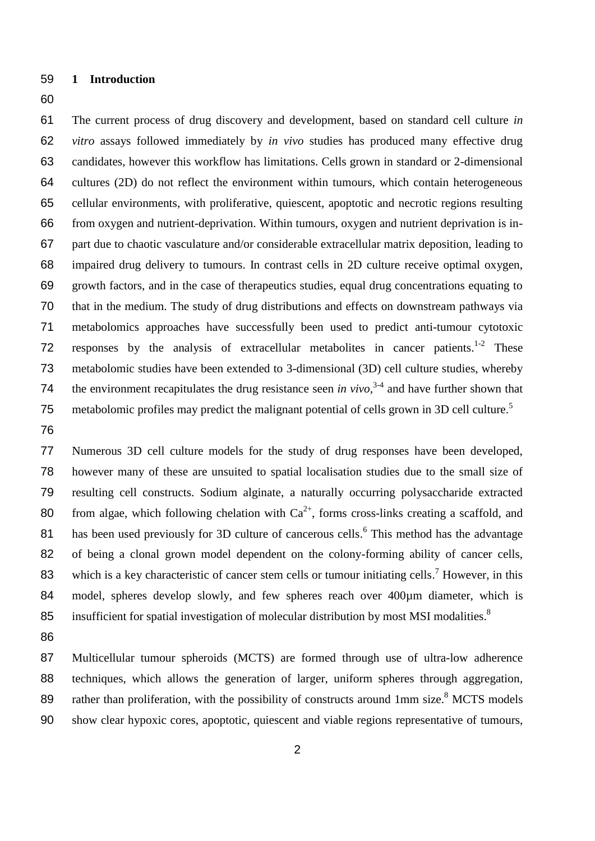- **1 Introduction**
- 

 The current process of drug discovery and development, based on standard cell culture *in vitro* assays followed immediately by *in vivo* studies has produced many effective drug candidates, however this workflow has limitations. Cells grown in standard or 2-dimensional cultures (2D) do not reflect the environment within tumours, which contain heterogeneous cellular environments, with proliferative, quiescent, apoptotic and necrotic regions resulting from oxygen and nutrient-deprivation. Within tumours, oxygen and nutrient deprivation is in- part due to chaotic vasculature and/or considerable extracellular matrix deposition, leading to impaired drug delivery to tumours. In contrast cells in 2D culture receive optimal oxygen, growth factors, and in the case of therapeutics studies, equal drug concentrations equating to that in the medium. The study of drug distributions and effects on downstream pathways via metabolomics approaches have successfully been used to predict anti-tumour cytotoxic 72 responses by the analysis of extracellular metabolites in cancer patients.<sup>1-2</sup> These metabolomic studies have been extended to 3-dimensional (3D) cell culture studies, whereby 74 the environment recapitulates the drug resistance seen *in vivo*,  $3-4$  and have further shown that metabolomic profiles may predict the malignant potential of cells grown in 3D cell culture.<sup>5</sup> 

 Numerous 3D cell culture models for the study of drug responses have been developed, however many of these are unsuited to spatial localisation studies due to the small size of resulting cell constructs. Sodium alginate, a naturally occurring polysaccharide extracted 80 from algae, which following chelation with  $Ca^{2+}$ , forms cross-links creating a scaffold, and 81 has been used previously for 3D culture of cancerous cells.<sup>6</sup> This method has the advantage of being a clonal grown model dependent on the colony-forming ability of cancer cells, 83 which is a key characteristic of cancer stem cells or tumour initiating cells.<sup>7</sup> However, in this 84 model, spheres develop slowly, and few spheres reach over 400um diameter, which is insufficient for spatial investigation of molecular distribution by most MSI modalities.<sup>8</sup> 

 Multicellular tumour spheroids (MCTS) are formed through use of ultra-low adherence techniques, which allows the generation of larger, uniform spheres through aggregation, 89 rather than proliferation, with the possibility of constructs around 1mm size.<sup>8</sup> MCTS models show clear hypoxic cores, apoptotic, quiescent and viable regions representative of tumours,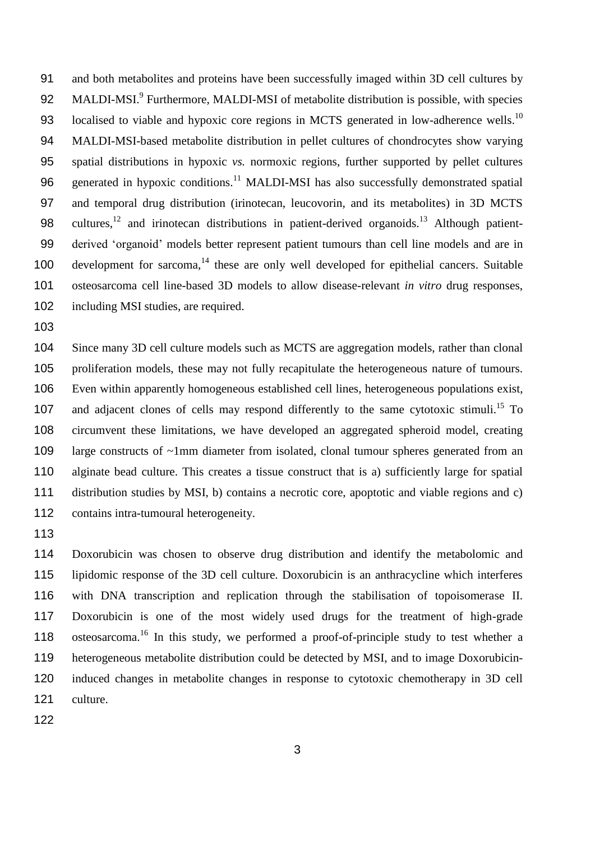and both metabolites and proteins have been successfully imaged within 3D cell cultures by 92 MALDI-MSI.<sup>9</sup> Furthermore, MALDI-MSI of metabolite distribution is possible, with species 93 localised to viable and hypoxic core regions in MCTS generated in low-adherence wells.<sup>10</sup> MALDI-MSI-based metabolite distribution in pellet cultures of chondrocytes show varying spatial distributions in hypoxic *vs.* normoxic regions, further supported by pellet cultures 96 generated in hypoxic conditions.<sup>11</sup> MALDI-MSI has also successfully demonstrated spatial and temporal drug distribution (irinotecan, leucovorin, and its metabolites) in 3D MCTS 98 cultures, <sup>12</sup> and irinotecan distributions in patient-derived organoids.<sup>13</sup> Although patient- derived 'organoid' models better represent patient tumours than cell line models and are in 100 development for sarcoma, these are only well developed for epithelial cancers. Suitable osteosarcoma cell line-based 3D models to allow disease-relevant *in vitro* drug responses, including MSI studies, are required.

 Since many 3D cell culture models such as MCTS are aggregation models, rather than clonal proliferation models, these may not fully recapitulate the heterogeneous nature of tumours. Even within apparently homogeneous established cell lines, heterogeneous populations exist, 107 and adjacent clones of cells may respond differently to the same cytotoxic stimuli.<sup>15</sup> To circumvent these limitations, we have developed an aggregated spheroid model, creating 109 large constructs of ~1mm diameter from isolated, clonal tumour spheres generated from an alginate bead culture. This creates a tissue construct that is a) sufficiently large for spatial distribution studies by MSI, b) contains a necrotic core, apoptotic and viable regions and c) 112 contains intra-tumoural heterogeneity.

 Doxorubicin was chosen to observe drug distribution and identify the metabolomic and lipidomic response of the 3D cell culture. Doxorubicin is an anthracycline which interferes with DNA transcription and replication through the stabilisation of topoisomerase II. Doxorubicin is one of the most widely used drugs for the treatment of high-grade 118 osteosarcoma.<sup>16</sup> In this study, we performed a proof-of-principle study to test whether a heterogeneous metabolite distribution could be detected by MSI, and to image Doxorubicin- induced changes in metabolite changes in response to cytotoxic chemotherapy in 3D cell culture.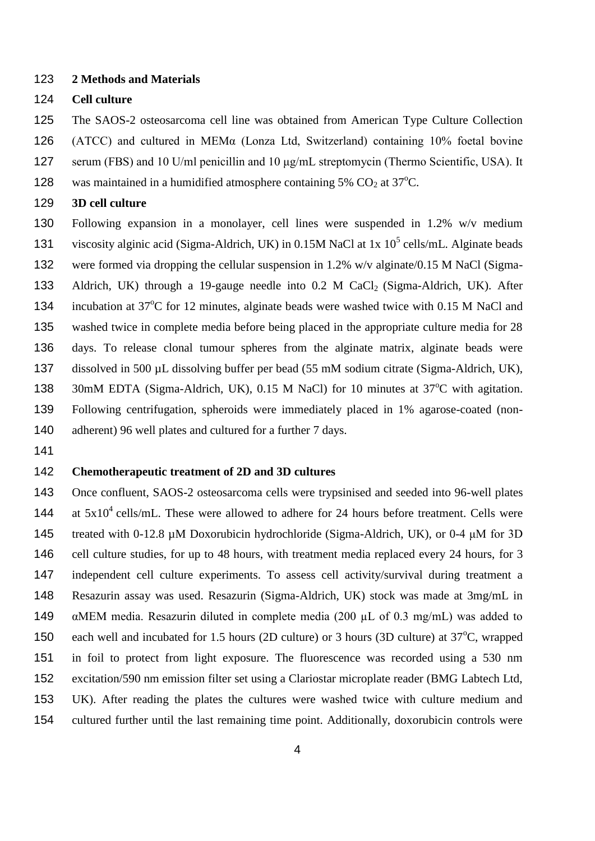### **2 Methods and Materials**

### **Cell culture**

The SAOS-2 osteosarcoma cell line was obtained from American Type Culture Collection

(ATCC) and cultured in MEMα (Lonza Ltd, Switzerland) containing 10% foetal bovine

serum (FBS) and 10 U/ml penicillin and 10 μg/mL streptomycin (Thermo Scientific, USA). It

128 was maintained in a humidified atmosphere containing 5%  $CO<sub>2</sub>$  at 37<sup>o</sup>C.

**3D cell culture**

 Following expansion in a monolayer, cell lines were suspended in 1.2% w/v medium 131 viscosity alginic acid (Sigma-Aldrich, UK) in 0.15M NaCl at 1x  $10^5$  cells/mL. Alginate beads were formed via dropping the cellular suspension in 1.2% w/v alginate/0.15 M NaCl (Sigma-133 Aldrich, UK) through a 19-gauge needle into  $0.2$  M CaCl<sub>2</sub> (Sigma-Aldrich, UK). After 134 incubation at 37°C for 12 minutes, alginate beads were washed twice with 0.15 M NaCl and washed twice in complete media before being placed in the appropriate culture media for 28 days. To release clonal tumour spheres from the alginate matrix, alginate beads were dissolved in 500 µL dissolving buffer per bead (55 mM sodium citrate (Sigma-Aldrich, UK), 138 30mM EDTA (Sigma-Aldrich, UK), 0.15 M NaCl) for 10 minutes at 37°C with agitation. Following centrifugation, spheroids were immediately placed in 1% agarose-coated (non-140 adherent) 96 well plates and cultured for a further 7 days.

## **Chemotherapeutic treatment of 2D and 3D cultures**

 Once confluent, SAOS-2 osteosarcoma cells were trypsinised and seeded into 96-well plates 144 at  $5x10^4$  cells/mL. These were allowed to adhere for 24 hours before treatment. Cells were treated with 0-12.8 µM Doxorubicin hydrochloride (Sigma-Aldrich, UK), or 0-4 μM for 3D cell culture studies, for up to 48 hours, with treatment media replaced every 24 hours, for 3 independent cell culture experiments. To assess cell activity/survival during treatment a Resazurin assay was used. Resazurin (Sigma-Aldrich, UK) stock was made at 3mg/mL in  $\alpha$ MEM media. Resazurin diluted in complete media (200  $\mu$ L of 0.3 mg/mL) was added to 150 each well and incubated for 1.5 hours (2D culture) or 3 hours (3D culture) at  $37^{\circ}$ C, wrapped in foil to protect from light exposure. The fluorescence was recorded using a 530 nm excitation/590 nm emission filter set using a Clariostar microplate reader (BMG Labtech Ltd, UK). After reading the plates the cultures were washed twice with culture medium and cultured further until the last remaining time point. Additionally, doxorubicin controls were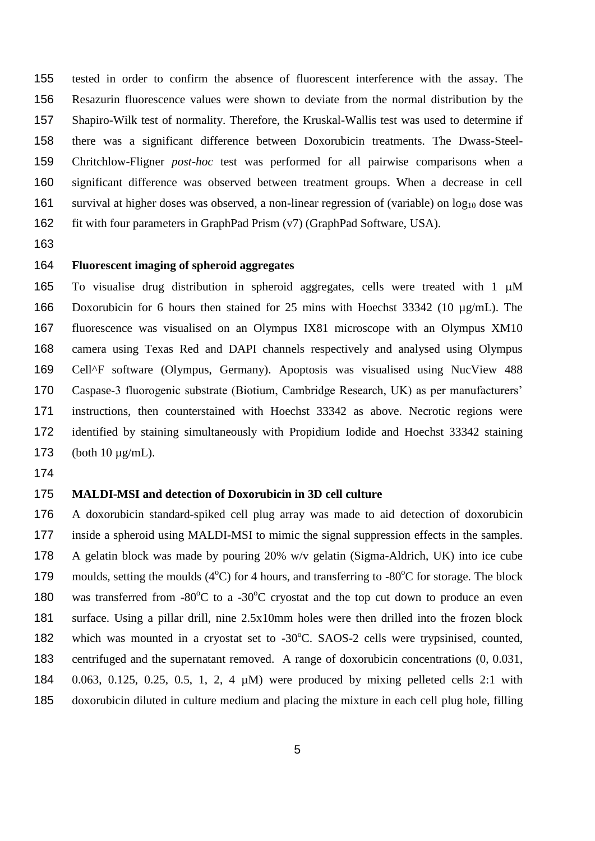tested in order to confirm the absence of fluorescent interference with the assay. The Resazurin fluorescence values were shown to deviate from the normal distribution by the Shapiro-Wilk test of normality. Therefore, the Kruskal-Wallis test was used to determine if there was a significant difference between Doxorubicin treatments. The Dwass-Steel- Chritchlow-Fligner *post-hoc* test was performed for all pairwise comparisons when a significant difference was observed between treatment groups. When a decrease in cell 161 survival at higher doses was observed, a non-linear regression of (variable) on  $\log_{10}$  dose was fit with four parameters in GraphPad Prism (v7) (GraphPad Software, USA).

## **Fluorescent imaging of spheroid aggregates**

165 To visualise drug distribution in spheroid aggregates, cells were treated with  $1 \mu M$  Doxorubicin for 6 hours then stained for 25 mins with Hoechst 33342 (10 µg/mL). The fluorescence was visualised on an Olympus IX81 microscope with an Olympus XM10 camera using Texas Red and DAPI channels respectively and analysed using Olympus Cell^F software (Olympus, Germany). Apoptosis was visualised using NucView 488 Caspase-3 fluorogenic substrate (Biotium, Cambridge Research, UK) as per manufacturers' instructions, then counterstained with Hoechst 33342 as above. Necrotic regions were identified by staining simultaneously with Propidium Iodide and Hoechst 33342 staining 173 (both  $10 \mu g/mL$ ).

### **MALDI-MSI and detection of Doxorubicin in 3D cell culture**

 A doxorubicin standard-spiked cell plug array was made to aid detection of doxorubicin inside a spheroid using MALDI-MSI to mimic the signal suppression effects in the samples. A gelatin block was made by pouring 20% w/v gelatin (Sigma-Aldrich, UK) into ice cube 179 moulds, setting the moulds  $(4^{\circ}C)$  for 4 hours, and transferring to -80 $^{\circ}C$  for storage. The block 180 was transferred from  $-80^{\circ}$ C to a  $-30^{\circ}$ C cryostat and the top cut down to produce an even surface. Using a pillar drill, nine 2.5x10mm holes were then drilled into the frozen block 182 which was mounted in a cryostat set to -30°C. SAOS-2 cells were trypsinised, counted, centrifuged and the supernatant removed. A range of doxorubicin concentrations (0, 0.031, 0.063, 0.125, 0.25, 0.5, 1, 2, 4 µM) were produced by mixing pelleted cells 2:1 with doxorubicin diluted in culture medium and placing the mixture in each cell plug hole, filling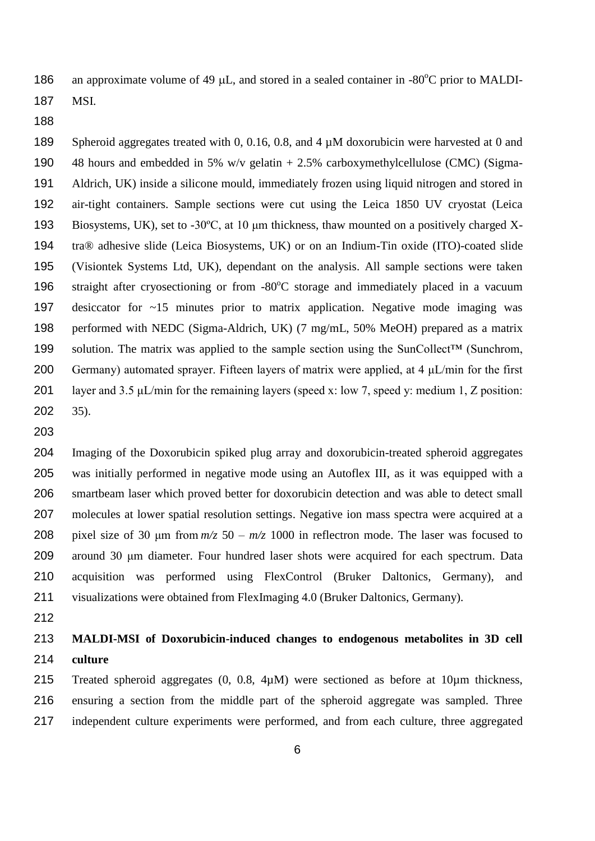186 an approximate volume of 49  $\mu$ L, and stored in a sealed container in -80 $\rm{^{\circ}C}$  prior to MALDI-

MSI.

 Spheroid aggregates treated with 0, 0.16, 0.8, and 4 µM doxorubicin were harvested at 0 and 48 hours and embedded in 5% w/v gelatin + 2.5% carboxymethylcellulose (CMC) (Sigma- Aldrich, UK) inside a silicone mould, immediately frozen using liquid nitrogen and stored in air-tight containers. Sample sections were cut using the Leica 1850 UV cryostat (Leica Biosystems, UK), set to -30ºC, at 10 μm thickness, thaw mounted on a positively charged X- tra® adhesive slide (Leica Biosystems, UK) or on an Indium-Tin oxide (ITO)-coated slide (Visiontek Systems Ltd, UK), dependant on the analysis. All sample sections were taken 196 straight after cryosectioning or from  $-80^{\circ}$ C storage and immediately placed in a vacuum desiccator for ~15 minutes prior to matrix application. Negative mode imaging was performed with NEDC (Sigma-Aldrich, UK) (7 mg/mL, 50% MeOH) prepared as a matrix solution. The matrix was applied to the sample section using the SunCollect™ (Sunchrom, 200 Germany) automated sprayer. Fifteen layers of matrix were applied, at  $4 \mu L/min$  for the first layer and 3.5 μL/min for the remaining layers (speed x: low 7, speed y: medium 1, Z position: 35).

 Imaging of the Doxorubicin spiked plug array and doxorubicin-treated spheroid aggregates was initially performed in negative mode using an Autoflex III, as it was equipped with a smartbeam laser which proved better for doxorubicin detection and was able to detect small molecules at lower spatial resolution settings. Negative ion mass spectra were acquired at a 208 pixel size of 30  $\mu$ m from  $m/z$  50 –  $m/z$  1000 in reflectron mode. The laser was focused to around 30 μm diameter. Four hundred laser shots were acquired for each spectrum. Data acquisition was performed using FlexControl (Bruker Daltonics, Germany), and visualizations were obtained from FlexImaging 4.0 (Bruker Daltonics, Germany).

# **MALDI-MSI of Doxorubicin-induced changes to endogenous metabolites in 3D cell culture**

 Treated spheroid aggregates (0, 0.8, 4µM) were sectioned as before at 10µm thickness, ensuring a section from the middle part of the spheroid aggregate was sampled. Three independent culture experiments were performed, and from each culture, three aggregated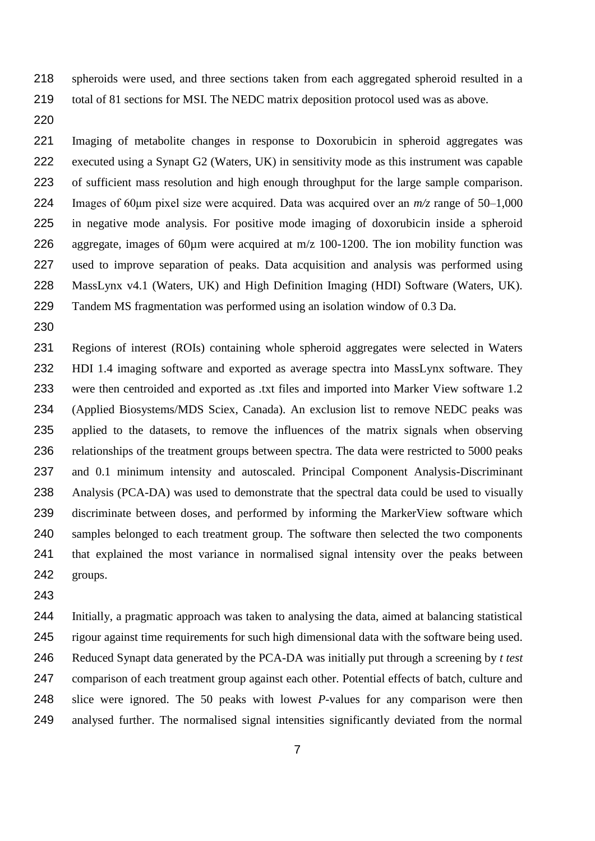spheroids were used, and three sections taken from each aggregated spheroid resulted in a total of 81 sections for MSI. The NEDC matrix deposition protocol used was as above.

 Imaging of metabolite changes in response to Doxorubicin in spheroid aggregates was executed using a Synapt G2 (Waters, UK) in sensitivity mode as this instrument was capable of sufficient mass resolution and high enough throughput for the large sample comparison. Images of 60μm pixel size were acquired. Data was acquired over an *m/z* range of 50–1,000 in negative mode analysis. For positive mode imaging of doxorubicin inside a spheroid aggregate, images of 60µm were acquired at m/z 100-1200. The ion mobility function was used to improve separation of peaks. Data acquisition and analysis was performed using MassLynx v4.1 (Waters, UK) and High Definition Imaging (HDI) Software (Waters, UK). Tandem MS fragmentation was performed using an isolation window of 0.3 Da.

 Regions of interest (ROIs) containing whole spheroid aggregates were selected in Waters HDI 1.4 imaging software and exported as average spectra into MassLynx software. They were then centroided and exported as .txt files and imported into Marker View software 1.2 (Applied Biosystems/MDS Sciex, Canada). An exclusion list to remove NEDC peaks was applied to the datasets, to remove the influences of the matrix signals when observing 236 relationships of the treatment groups between spectra. The data were restricted to 5000 peaks and 0.1 minimum intensity and autoscaled. Principal Component Analysis-Discriminant Analysis (PCA-DA) was used to demonstrate that the spectral data could be used to visually discriminate between doses, and performed by informing the MarkerView software which samples belonged to each treatment group. The software then selected the two components that explained the most variance in normalised signal intensity over the peaks between groups.

 Initially, a pragmatic approach was taken to analysing the data, aimed at balancing statistical rigour against time requirements for such high dimensional data with the software being used. Reduced Synapt data generated by the PCA-DA was initially put through a screening by *t test* comparison of each treatment group against each other. Potential effects of batch, culture and slice were ignored. The 50 peaks with lowest *P*-values for any comparison were then analysed further. The normalised signal intensities significantly deviated from the normal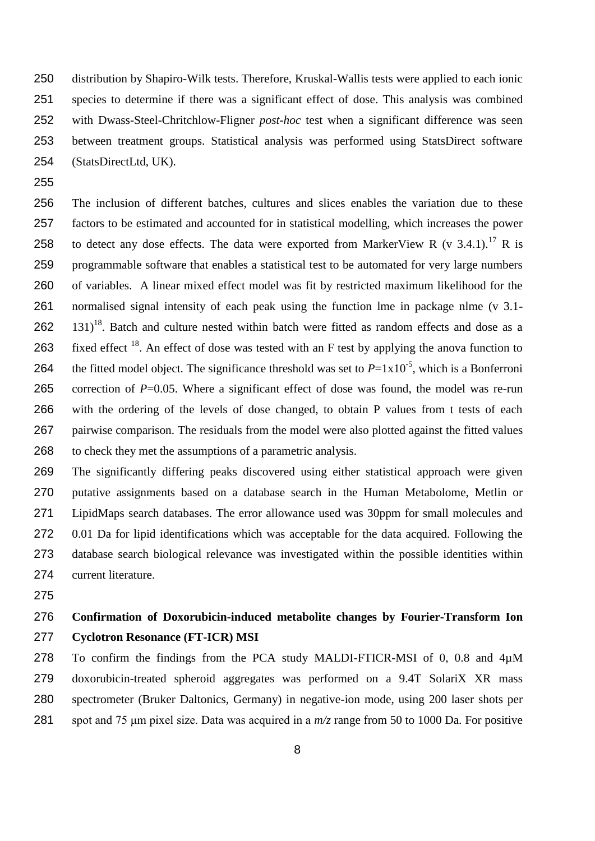distribution by Shapiro-Wilk tests. Therefore, Kruskal-Wallis tests were applied to each ionic species to determine if there was a significant effect of dose. This analysis was combined with Dwass-Steel-Chritchlow-Fligner *post-hoc* test when a significant difference was seen between treatment groups. Statistical analysis was performed using StatsDirect software (StatsDirectLtd, UK).

 The inclusion of different batches, cultures and slices enables the variation due to these factors to be estimated and accounted for in statistical modelling, which increases the power 258 to detect any dose effects. The data were exported from MarkerView R (v 3.4.1).<sup>17</sup> R is programmable software that enables a statistical test to be automated for very large numbers of variables. A linear mixed effect model was fit by restricted maximum likelihood for the normalised signal intensity of each peak using the function lme in package nlme (v 3.1-  $131$ <sup>18</sup>. Batch and culture nested within batch were fitted as random effects and dose as a 263 fixed effect . An effect of dose was tested with an F test by applying the anova function to 264 the fitted model object. The significance threshold was set to  $P=1x10^{-5}$ , which is a Bonferroni 265 correction of *P*=0.05. Where a significant effect of dose was found, the model was re-run with the ordering of the levels of dose changed, to obtain P values from t tests of each pairwise comparison. The residuals from the model were also plotted against the fitted values to check they met the assumptions of a parametric analysis.

 The significantly differing peaks discovered using either statistical approach were given putative assignments based on a database search in the Human Metabolome, Metlin or LipidMaps search databases. The error allowance used was 30ppm for small molecules and 0.01 Da for lipid identifications which was acceptable for the data acquired. Following the database search biological relevance was investigated within the possible identities within current literature.

## **Confirmation of Doxorubicin-induced metabolite changes by Fourier-Transform Ion Cyclotron Resonance (FT-ICR) MSI**

 To confirm the findings from the PCA study MALDI-FTICR-MSI of 0, 0.8 and 4µM doxorubicin-treated spheroid aggregates was performed on a 9.4T SolariX XR mass spectrometer (Bruker Daltonics, Germany) in negative-ion mode, using 200 laser shots per spot and 75 μm pixel size. Data was acquired in a *m/z* range from 50 to 1000 Da. For positive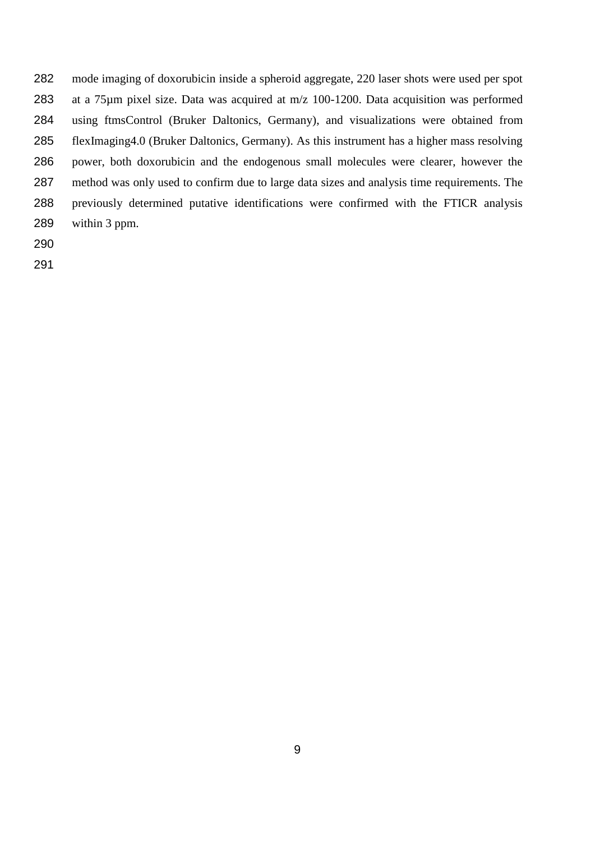mode imaging of doxorubicin inside a spheroid aggregate, 220 laser shots were used per spot at a 75µm pixel size. Data was acquired at m/z 100-1200. Data acquisition was performed using ftmsControl (Bruker Daltonics, Germany), and visualizations were obtained from flexImaging4.0 (Bruker Daltonics, Germany). As this instrument has a higher mass resolving power, both doxorubicin and the endogenous small molecules were clearer, however the method was only used to confirm due to large data sizes and analysis time requirements. The previously determined putative identifications were confirmed with the FTICR analysis within 3 ppm.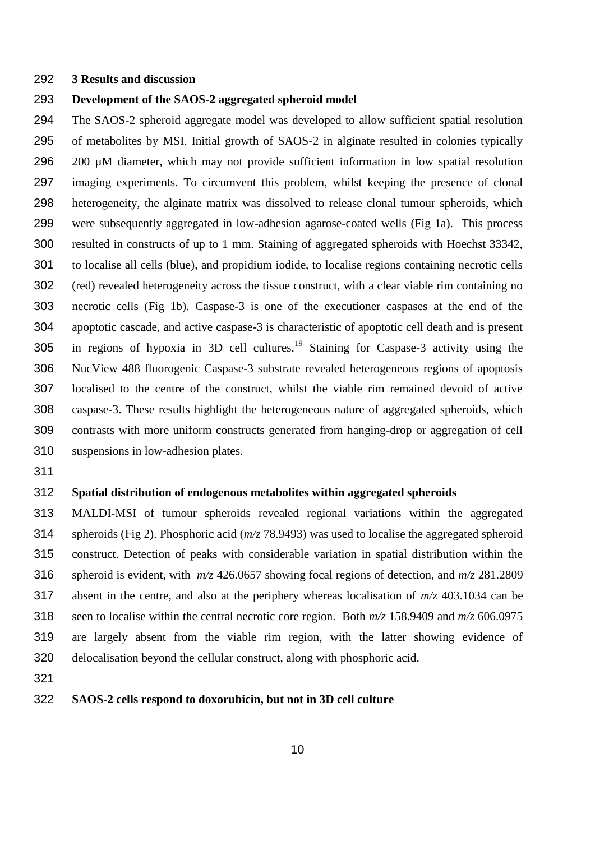#### **3 Results and discussion**

### **Development of the SAOS-2 aggregated spheroid model**

 The SAOS-2 spheroid aggregate model was developed to allow sufficient spatial resolution of metabolites by MSI. Initial growth of SAOS-2 in alginate resulted in colonies typically 200 µM diameter, which may not provide sufficient information in low spatial resolution imaging experiments. To circumvent this problem, whilst keeping the presence of clonal heterogeneity, the alginate matrix was dissolved to release clonal tumour spheroids, which were subsequently aggregated in low-adhesion agarose-coated wells (Fig 1a). This process resulted in constructs of up to 1 mm. Staining of aggregated spheroids with Hoechst 33342, to localise all cells (blue), and propidium iodide, to localise regions containing necrotic cells (red) revealed heterogeneity across the tissue construct, with a clear viable rim containing no necrotic cells (Fig 1b). Caspase-3 is one of the executioner caspases at the end of the apoptotic cascade, and active caspase-3 is characteristic of apoptotic cell death and is present 305 in regions of hypoxia in 3D cell cultures.<sup>19</sup> Staining for Caspase-3 activity using the NucView 488 fluorogenic Caspase-3 substrate revealed heterogeneous regions of apoptosis localised to the centre of the construct, whilst the viable rim remained devoid of active caspase-3. These results highlight the heterogeneous nature of aggregated spheroids, which contrasts with more uniform constructs generated from hanging-drop or aggregation of cell suspensions in low-adhesion plates.

### **Spatial distribution of endogenous metabolites within aggregated spheroids**

 MALDI-MSI of tumour spheroids revealed regional variations within the aggregated spheroids (Fig 2). Phosphoric acid (*m/z* 78.9493) was used to localise the aggregated spheroid construct. Detection of peaks with considerable variation in spatial distribution within the spheroid is evident, with *m/z* 426.0657 showing focal regions of detection, and *m/z* 281.2809 absent in the centre, and also at the periphery whereas localisation of *m/z* 403.1034 can be seen to localise within the central necrotic core region. Both *m/z* 158.9409 and *m/z* 606.0975 are largely absent from the viable rim region, with the latter showing evidence of delocalisation beyond the cellular construct, along with phosphoric acid.

### **SAOS-2 cells respond to doxorubicin, but not in 3D cell culture**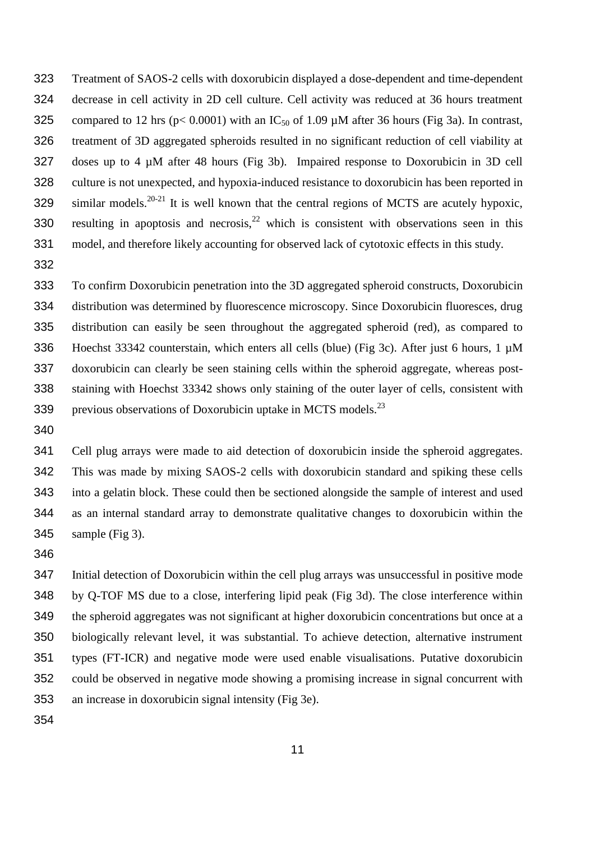- Treatment of SAOS-2 cells with doxorubicin displayed a dose-dependent and time-dependent decrease in cell activity in 2D cell culture. Cell activity was reduced at 36 hours treatment 325 compared to 12 hrs ( $p < 0.0001$ ) with an IC<sub>50</sub> of 1.09  $\mu$ M after 36 hours (Fig 3a). In contrast, treatment of 3D aggregated spheroids resulted in no significant reduction of cell viability at doses up to 4 µM after 48 hours (Fig 3b). Impaired response to Doxorubicin in 3D cell culture is not unexpected, and hypoxia-induced resistance to doxorubicin has been reported in 329 similar models. <sup>20-21</sup> It is well known that the central regions of MCTS are acutely hypoxic, 330 resulting in apoptosis and necrosis,  $2^2$  which is consistent with observations seen in this model, and therefore likely accounting for observed lack of cytotoxic effects in this study.
- 

 To confirm Doxorubicin penetration into the 3D aggregated spheroid constructs, Doxorubicin distribution was determined by fluorescence microscopy. Since Doxorubicin fluoresces, drug distribution can easily be seen throughout the aggregated spheroid (red), as compared to Hoechst 33342 counterstain, which enters all cells (blue) (Fig 3c). After just 6 hours, 1 µM doxorubicin can clearly be seen staining cells within the spheroid aggregate, whereas post- staining with Hoechst 33342 shows only staining of the outer layer of cells, consistent with 339 previous observations of Doxorubicin uptake in MCTS models. $^{23}$ 

 Cell plug arrays were made to aid detection of doxorubicin inside the spheroid aggregates. This was made by mixing SAOS-2 cells with doxorubicin standard and spiking these cells into a gelatin block. These could then be sectioned alongside the sample of interest and used as an internal standard array to demonstrate qualitative changes to doxorubicin within the sample (Fig 3).

 Initial detection of Doxorubicin within the cell plug arrays was unsuccessful in positive mode by Q-TOF MS due to a close, interfering lipid peak (Fig 3d). The close interference within the spheroid aggregates was not significant at higher doxorubicin concentrations but once at a biologically relevant level, it was substantial. To achieve detection, alternative instrument types (FT-ICR) and negative mode were used enable visualisations. Putative doxorubicin could be observed in negative mode showing a promising increase in signal concurrent with an increase in doxorubicin signal intensity (Fig 3e).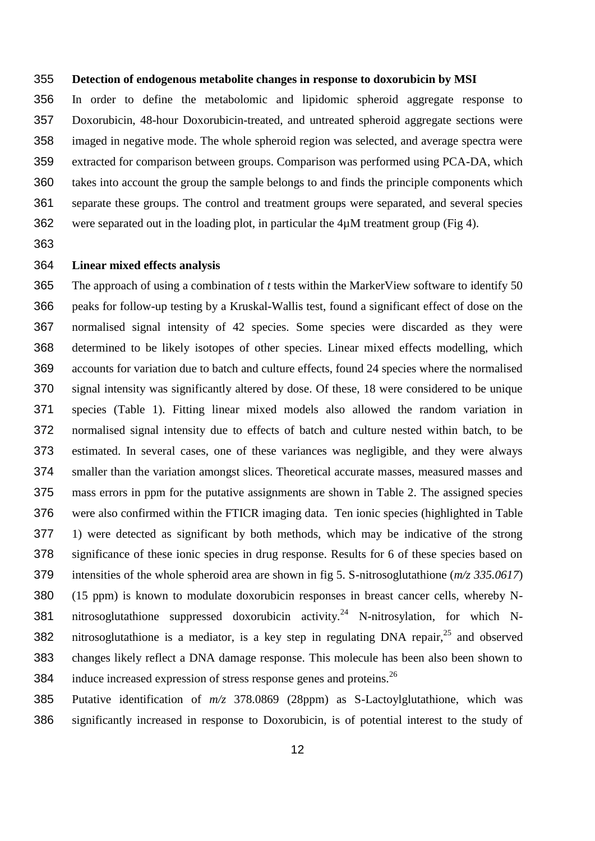#### **Detection of endogenous metabolite changes in response to doxorubicin by MSI**

 In order to define the metabolomic and lipidomic spheroid aggregate response to Doxorubicin, 48-hour Doxorubicin-treated, and untreated spheroid aggregate sections were imaged in negative mode. The whole spheroid region was selected, and average spectra were extracted for comparison between groups. Comparison was performed using PCA-DA, which takes into account the group the sample belongs to and finds the principle components which separate these groups. The control and treatment groups were separated, and several species were separated out in the loading plot, in particular the 4µM treatment group (Fig 4).

### **Linear mixed effects analysis**

 The approach of using a combination of *t* tests within the MarkerView software to identify 50 peaks for follow-up testing by a Kruskal-Wallis test, found a significant effect of dose on the normalised signal intensity of 42 species. Some species were discarded as they were determined to be likely isotopes of other species. Linear mixed effects modelling, which accounts for variation due to batch and culture effects, found 24 species where the normalised signal intensity was significantly altered by dose. Of these, 18 were considered to be unique species (Table 1). Fitting linear mixed models also allowed the random variation in normalised signal intensity due to effects of batch and culture nested within batch, to be estimated. In several cases, one of these variances was negligible, and they were always smaller than the variation amongst slices. Theoretical accurate masses, measured masses and mass errors in ppm for the putative assignments are shown in Table 2. The assigned species were also confirmed within the FTICR imaging data. Ten ionic species (highlighted in Table 1) were detected as significant by both methods, which may be indicative of the strong significance of these ionic species in drug response. Results for 6 of these species based on intensities of the whole spheroid area are shown in fig 5. S-nitrosoglutathione (*m/z 335.0617*) (15 ppm) is known to modulate doxorubicin responses in breast cancer cells, whereby N-381 nitrosoglutathione suppressed doxorubicin activity.<sup>24</sup> N-nitrosylation, for which N-382 nitrosoglutathione is a mediator, is a key step in regulating DNA repair, and observed changes likely reflect a DNA damage response. This molecule has been also been shown to 384 induce increased expression of stress response genes and proteins.  $^{26}$ 

 Putative identification of *m/z* 378.0869 (28ppm) as S-Lactoylglutathione, which was significantly increased in response to Doxorubicin, is of potential interest to the study of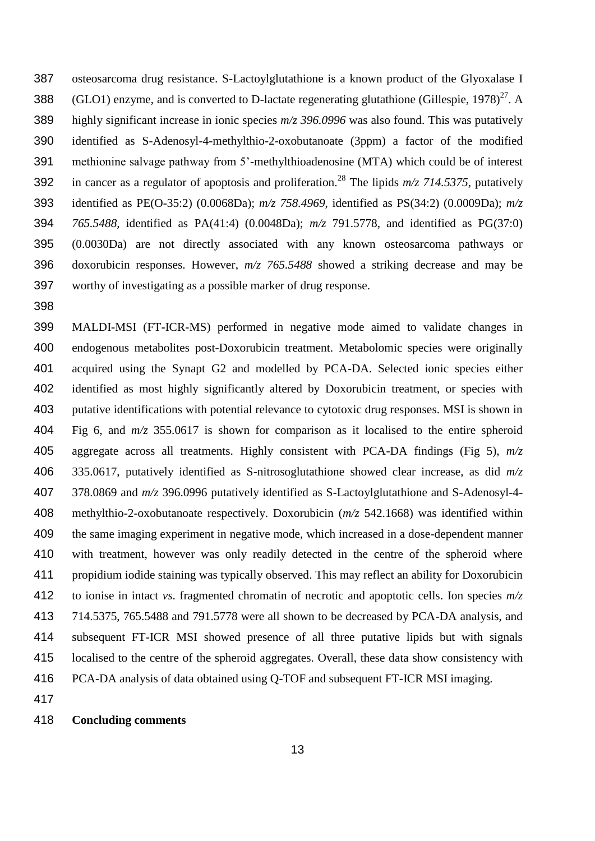osteosarcoma drug resistance. S-Lactoylglutathione is a known product of the Glyoxalase I 388 (GLO1) enzyme, and is converted to D-lactate regenerating glutathione (Gillespie, 1978)<sup>27</sup>. A highly significant increase in ionic species *m/z 396.0996* was also found. This was putatively identified as S-Adenosyl-4-methylthio-2-oxobutanoate (3ppm) a factor of the modified methionine salvage pathway from 5'-methylthioadenosine (MTA) which could be of interest 392 in cancer as a regulator of apoptosis and proliferation.<sup>28</sup> The lipids  $m/z$  714.5375, putatively identified as PE(O-35:2) (0.0068Da); *m/z 758.4969*, identified as PS(34:2) (0.0009Da); *m/z 765.5488,* identified as PA(41:4) (0.0048Da); *m/z* 791.5778, and identified as PG(37:0) (0.0030Da) are not directly associated with any known osteosarcoma pathways or doxorubicin responses. However, *m/z 765.5488* showed a striking decrease and may be worthy of investigating as a possible marker of drug response.

 MALDI-MSI (FT-ICR-MS) performed in negative mode aimed to validate changes in endogenous metabolites post-Doxorubicin treatment. Metabolomic species were originally acquired using the Synapt G2 and modelled by PCA-DA. Selected ionic species either identified as most highly significantly altered by Doxorubicin treatment, or species with putative identifications with potential relevance to cytotoxic drug responses. MSI is shown in Fig 6, and *m/z* 355.0617 is shown for comparison as it localised to the entire spheroid aggregate across all treatments. Highly consistent with PCA-DA findings (Fig 5), *m/z* 335.0617, putatively identified as S-nitrosoglutathione showed clear increase, as did *m/z* 378.0869 and *m/z* 396.0996 putatively identified as S-Lactoylglutathione and S-Adenosyl-4- methylthio-2-oxobutanoate respectively. Doxorubicin (*m/z* 542.1668) was identified within the same imaging experiment in negative mode, which increased in a dose-dependent manner with treatment, however was only readily detected in the centre of the spheroid where propidium iodide staining was typically observed. This may reflect an ability for Doxorubicin to ionise in intact *vs*. fragmented chromatin of necrotic and apoptotic cells. Ion species *m/z* 714.5375, 765.5488 and 791.5778 were all shown to be decreased by PCA-DA analysis, and subsequent FT-ICR MSI showed presence of all three putative lipids but with signals localised to the centre of the spheroid aggregates. Overall, these data show consistency with PCA-DA analysis of data obtained using Q-TOF and subsequent FT-ICR MSI imaging.

### **Concluding comments**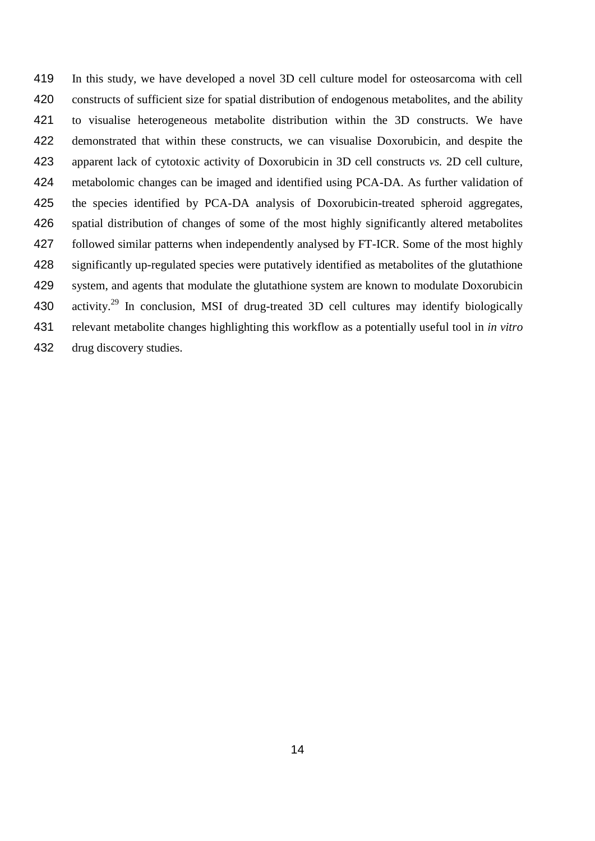In this study, we have developed a novel 3D cell culture model for osteosarcoma with cell constructs of sufficient size for spatial distribution of endogenous metabolites, and the ability to visualise heterogeneous metabolite distribution within the 3D constructs. We have demonstrated that within these constructs, we can visualise Doxorubicin, and despite the apparent lack of cytotoxic activity of Doxorubicin in 3D cell constructs *vs.* 2D cell culture, metabolomic changes can be imaged and identified using PCA-DA. As further validation of the species identified by PCA-DA analysis of Doxorubicin-treated spheroid aggregates, spatial distribution of changes of some of the most highly significantly altered metabolites followed similar patterns when independently analysed by FT-ICR. Some of the most highly significantly up-regulated species were putatively identified as metabolites of the glutathione system, and agents that modulate the glutathione system are known to modulate Doxorubicin 430 activity.<sup>29</sup> In conclusion, MSI of drug-treated 3D cell cultures may identify biologically relevant metabolite changes highlighting this workflow as a potentially useful tool in *in vitro* drug discovery studies.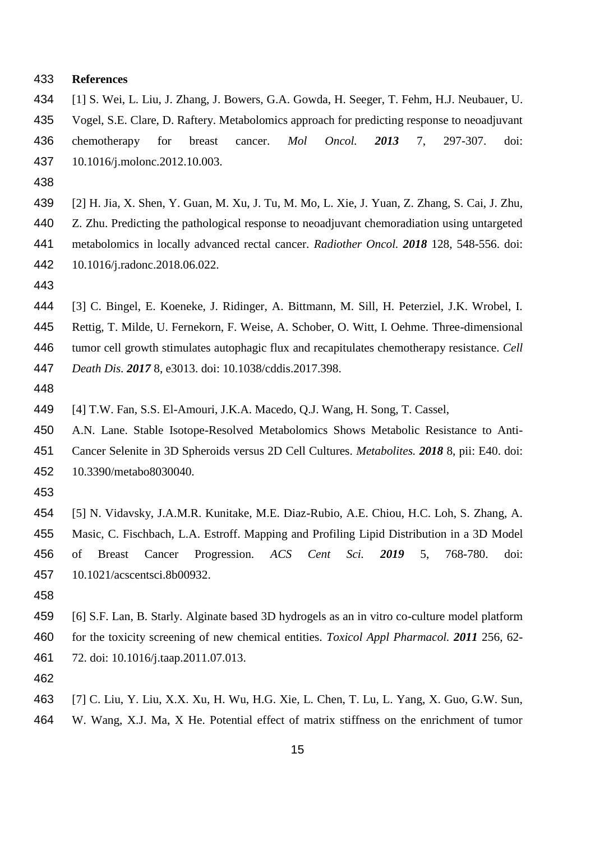#### **References**

- [1] S. Wei, L. Liu, J. Zhang, J. Bowers, G.A. Gowda, H. Seeger, T. Fehm, H.J. Neubauer, U. Vogel, S.E. Clare, D. Raftery. Metabolomics approach for predicting response to neoadjuvant chemotherapy for breast cancer. *Mol Oncol. 2013* 7, 297-307. doi: 10.1016/j.molonc.2012.10.003.
- 
- [2] H. Jia, X. Shen, Y. Guan, M. Xu, J. Tu, M. Mo, L. Xie, J. Yuan, Z. Zhang, S. Cai, J. Zhu, Z. Zhu. Predicting the pathological response to neoadjuvant chemoradiation using untargeted metabolomics in locally advanced rectal cancer. *Radiother Oncol. 2018* 128, 548-556. doi: 10.1016/j.radonc.2018.06.022.
- 
- [3] C. Bingel, E. Koeneke, J. Ridinger, A. Bittmann, M. Sill, H. Peterziel, J.K. Wrobel, I.
- Rettig, T. Milde, U. Fernekorn, F. Weise, A. Schober, O. Witt, I. Oehme. Three-dimensional
- tumor cell growth stimulates autophagic flux and recapitulates chemotherapy resistance. *Cell*

*Death Dis. 2017* 8, e3013. doi: 10.1038/cddis.2017.398.

[4] T.W. Fan, S.S. El-Amouri, J.K.A. Macedo, Q.J. Wang, H. Song, T. Cassel,

- A.N. Lane. Stable Isotope-Resolved Metabolomics Shows Metabolic Resistance to Anti-
- Cancer Selenite in 3D Spheroids versus 2D Cell Cultures. *Metabolites. 2018* 8, pii: E40. doi: 10.3390/metabo8030040.
- 
- [5] N. Vidavsky, J.A.M.R. Kunitake, M.E. Diaz-Rubio, A.E. Chiou, H.C. Loh, S. Zhang, A. Masic, C. Fischbach, L.A. Estroff. Mapping and Profiling Lipid Distribution in a 3D Model of Breast Cancer Progression. *ACS Cent Sci. 2019* 5, 768-780. doi: 10.1021/acscentsci.8b00932.
- 
- [6] S.F. Lan, B. Starly. Alginate based 3D hydrogels as an in vitro co-culture model platform for the toxicity screening of new chemical entities. *Toxicol Appl Pharmacol. 2011* 256, 62- 72. doi: 10.1016/j.taap.2011.07.013.
- 
- [7] C. Liu, Y. Liu, X.X. Xu, H. Wu, H.G. Xie, L. Chen, T. Lu, L. Yang, X. Guo, G.W. Sun, W. Wang, X.J. Ma, X He. Potential effect of matrix stiffness on the enrichment of tumor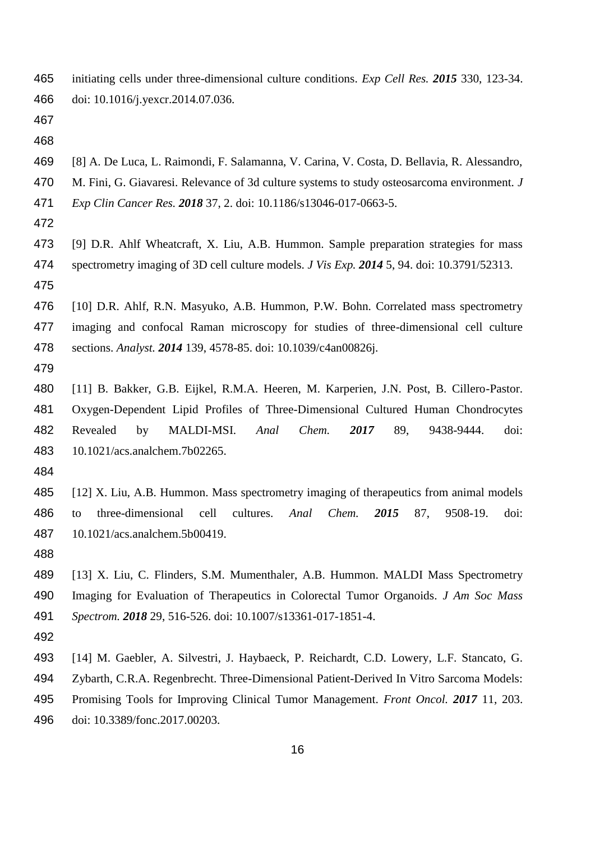initiating cells under three-dimensional culture conditions. *Exp Cell Res. 2015* 330, 123-34. doi: 10.1016/j.yexcr.2014.07.036.

- [8] A. De Luca, L. Raimondi, F. Salamanna, V. Carina, V. Costa, D. Bellavia, R. Alessandro,
- M. Fini, G. Giavaresi. Relevance of 3d culture systems to study osteosarcoma environment. *J*
- *Exp Clin Cancer Res. 2018* 37, 2. doi: 10.1186/s13046-017-0663-5.
- 
- [9] D.R. Ahlf Wheatcraft, X. Liu, A.B. Hummon. Sample preparation strategies for mass spectrometry imaging of 3D cell culture models. *J Vis Exp. 2014* 5, 94. doi: 10.3791/52313.
- 
- [10] D.R. Ahlf, R.N. Masyuko, A.B. Hummon, P.W. Bohn. Correlated mass spectrometry imaging and confocal Raman microscopy for studies of three-dimensional cell culture sections. *Analyst. 2014* 139, 4578-85. doi: 10.1039/c4an00826j.
- 
- [11] B. Bakker, G.B. Eijkel, R.M.A. Heeren, M. Karperien, J.N. Post, B. Cillero-Pastor. Oxygen-Dependent Lipid Profiles of Three-Dimensional Cultured Human Chondrocytes Revealed by MALDI-MSI. *Anal Chem. 2017* 89, 9438-9444. doi: 10.1021/acs.analchem.7b02265.
- 
- [12] X. Liu, A.B. Hummon. Mass spectrometry imaging of therapeutics from animal models to three-dimensional cell cultures. *Anal Chem. 2015* 87, 9508-19. doi: 10.1021/acs.analchem.5b00419.
- 
- [13] X. Liu, C. Flinders, S.M. Mumenthaler, A.B. Hummon. MALDI Mass Spectrometry Imaging for Evaluation of Therapeutics in Colorectal Tumor Organoids. *J Am Soc Mass Spectrom. 2018* 29, 516-526. doi: 10.1007/s13361-017-1851-4.
- 
- [14] M. Gaebler, A. Silvestri, J. Haybaeck, P. Reichardt, C.D. Lowery, L.F. Stancato, G. Zybarth, C.R.A. Regenbrecht. Three-Dimensional Patient-Derived In Vitro Sarcoma Models: Promising Tools for Improving Clinical Tumor Management. *Front Oncol. 2017* 11, 203. doi: 10.3389/fonc.2017.00203.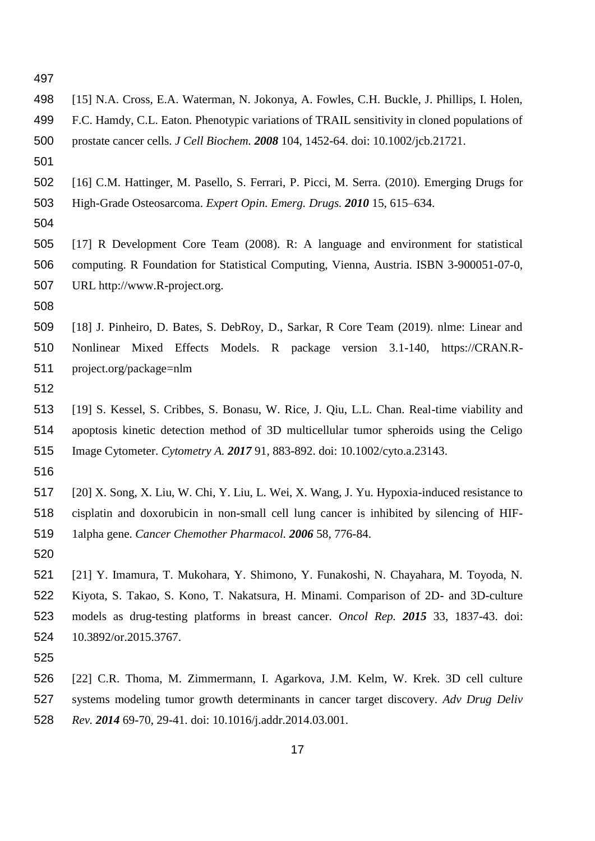| 498 | [15] N.A. Cross, E.A. Waterman, N. Jokonya, A. Fowles, C.H. Buckle, J. Phillips, I. Holen,  |
|-----|---------------------------------------------------------------------------------------------|
| 499 | F.C. Hamdy, C.L. Eaton. Phenotypic variations of TRAIL sensitivity in cloned populations of |
| 500 | prostate cancer cells. J Cell Biochem. 2008 104, 1452-64. doi: 10.1002/jcb.21721.           |
| 501 |                                                                                             |
| 502 | [16] C.M. Hattinger, M. Pasello, S. Ferrari, P. Picci, M. Serra. (2010). Emerging Drugs for |
| 503 | High-Grade Osteosarcoma. Expert Opin. Emerg. Drugs. 2010 15, 615–634.                       |
| 504 |                                                                                             |
| 505 | [17] R Development Core Team (2008). R: A language and environment for statistical          |
| 506 | computing. R Foundation for Statistical Computing, Vienna, Austria. ISBN 3-900051-07-0,     |
| 507 | URL http://www.R-project.org.                                                               |
| 508 |                                                                                             |
| 509 | [18] J. Pinheiro, D. Bates, S. DebRoy, D., Sarkar, R Core Team (2019). nlme: Linear and     |
| 510 | Nonlinear Mixed Effects Models. R package version 3.1-140, https://CRAN.R-                  |
| 511 | project.org/package=nlm                                                                     |
| 512 |                                                                                             |
| 513 | [19] S. Kessel, S. Cribbes, S. Bonasu, W. Rice, J. Qiu, L.L. Chan. Real-time viability and  |
| 514 | apoptosis kinetic detection method of 3D multicellular tumor spheroids using the Celigo     |
| 515 | Image Cytometer. Cytometry A. 2017 91, 883-892. doi: 10.1002/cyto.a.23143.                  |
| 516 |                                                                                             |
| 517 | [20] X. Song, X. Liu, W. Chi, Y. Liu, L. Wei, X. Wang, J. Yu. Hypoxia-induced resistance to |
| 518 | cisplatin and doxorubicin in non-small cell lung cancer is inhibited by silencing of HIF-   |
| 519 | 1alpha gene. Cancer Chemother Pharmacol. 2006 58, 776-84.                                   |
| 520 |                                                                                             |
| 521 | [21] Y. Imamura, T. Mukohara, Y. Shimono, Y. Funakoshi, N. Chayahara, M. Toyoda, N.         |
| 522 | Kiyota, S. Takao, S. Kono, T. Nakatsura, H. Minami. Comparison of 2D- and 3D-culture        |
| 523 | models as drug-testing platforms in breast cancer. Oncol Rep. 2015 33, 1837-43. doi:        |
| 524 | 10.3892/or.2015.3767.                                                                       |
| 525 |                                                                                             |
| 526 | [22] C.R. Thoma, M. Zimmermann, I. Agarkova, J.M. Kelm, W. Krek. 3D cell culture            |
| 527 | systems modeling tumor growth determinants in cancer target discovery. Adv Drug Deliv       |
| 528 | Rev. 2014 69-70, 29-41. doi: 10.1016/j.addr.2014.03.001.                                    |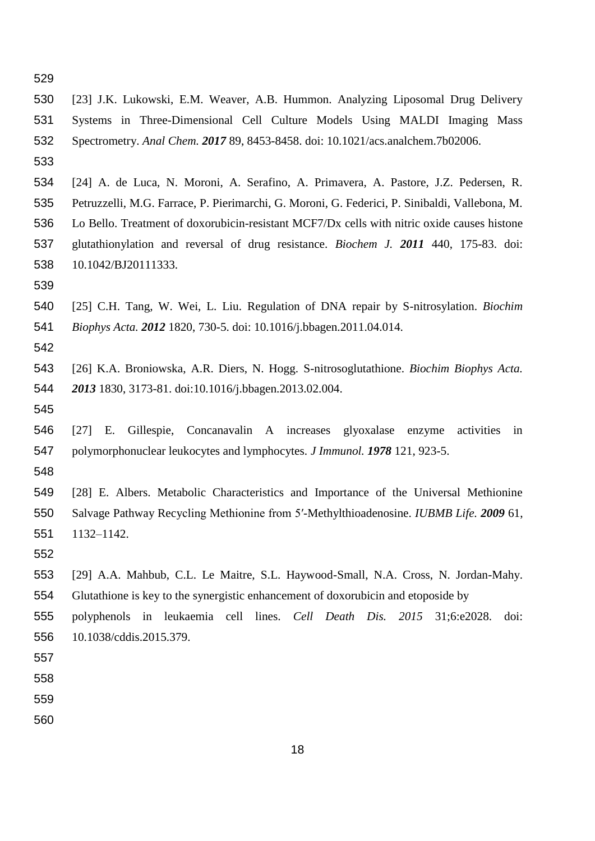- 
- [23] J.K. Lukowski, E.M. Weaver, A.B. Hummon. Analyzing Liposomal Drug Delivery Systems in Three-Dimensional Cell Culture Models Using MALDI Imaging Mass Spectrometry. *Anal Chem. 2017* 89, 8453-8458. doi: 10.1021/acs.analchem.7b02006.
- 
- [24] A. de Luca, N. Moroni, A. Serafino, A. Primavera, A. Pastore, J.Z. Pedersen, R. Petruzzelli, M.G. Farrace, P. Pierimarchi, G. Moroni, G. Federici, P. Sinibaldi, Vallebona, M. Lo Bello. Treatment of doxorubicin-resistant MCF7/Dx cells with nitric oxide causes histone glutathionylation and reversal of drug resistance. *Biochem J. 2011* 440, 175-83. doi: 10.1042/BJ20111333.
- 
- [25] C.H. Tang, W. Wei, L. Liu. Regulation of DNA repair by S-nitrosylation. *Biochim Biophys Acta. 2012* 1820, 730-5. doi: 10.1016/j.bbagen.2011.04.014.
- 
- [26] K.A. Broniowska, A.R. Diers, N. Hogg. S-nitrosoglutathione. *Biochim Biophys Acta. 2013* 1830, 3173-81. doi:10.1016/j.bbagen.2013.02.004.
- 
- [27] E. Gillespie, Concanavalin A increases glyoxalase enzyme activities in polymorphonuclear leukocytes and lymphocytes. *J Immunol. 1978* 121, 923-5.
- 
- [28] E. Albers. Metabolic Characteristics and Importance of the Universal Methionine Salvage Pathway Recycling Methionine from 5′-Methylthioadenosine. *IUBMB Life. 2009* 61, 1132–1142.
- 
- [29] A.A. Mahbub, C.L. Le Maitre, S.L. Haywood-Small, N.A. Cross, N. Jordan-Mahy.
- Glutathione is key to the synergistic enhancement of doxorubicin and etoposide by
- polyphenols in leukaemia cell lines. *Cell Death Dis. 2015* 31;6:e2028. doi: 10.1038/cddis.2015.379.

- 
- 
-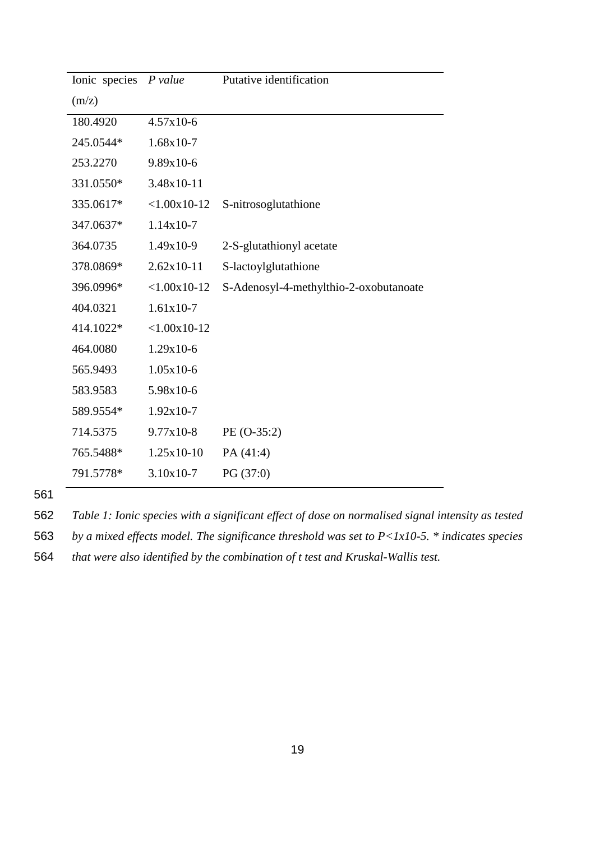| Ionic species <i>P value</i> |                | Putative identification                |  |  |  |  |
|------------------------------|----------------|----------------------------------------|--|--|--|--|
| (m/z)                        |                |                                        |  |  |  |  |
| 180.4920                     | $4.57x10-6$    |                                        |  |  |  |  |
| 245.0544*                    | $1.68x10-7$    |                                        |  |  |  |  |
| 253.2270                     | 9.89x10-6      |                                        |  |  |  |  |
| 331.0550*                    | 3.48x10-11     |                                        |  |  |  |  |
| 335.0617*                    | $< 1.00x10-12$ | S-nitrosoglutathione                   |  |  |  |  |
| 347.0637*                    | $1.14x10-7$    |                                        |  |  |  |  |
| 364.0735                     | $1.49x10-9$    | 2-S-glutathionyl acetate               |  |  |  |  |
| 378.0869*                    | $2.62x10-11$   | S-lactoylglutathione                   |  |  |  |  |
| 396.0996*                    | $< 1.00x10-12$ | S-Adenosyl-4-methylthio-2-oxobutanoate |  |  |  |  |
| 404.0321                     | $1.61x10-7$    |                                        |  |  |  |  |
| 414.1022*                    | $< 1.00x10-12$ |                                        |  |  |  |  |
| 464.0080                     | $1.29x10-6$    |                                        |  |  |  |  |
| 565.9493                     | $1.05x10-6$    |                                        |  |  |  |  |
| 583.9583                     | 5.98x10-6      |                                        |  |  |  |  |
| 589.9554*                    | $1.92x10-7$    |                                        |  |  |  |  |
| 714.5375                     | $9.77x10-8$    | PE (O-35:2)                            |  |  |  |  |
| 765.5488*                    | 1.25x10-10     | PA (41:4)                              |  |  |  |  |
| 791.5778*                    | $3.10x10-7$    | PG(37:0)                               |  |  |  |  |

562 *Table 1: Ionic species with a significant effect of dose on normalised signal intensity as tested* 

563 *by a mixed effects model. The significance threshold was set to P<1x10-5. \* indicates species* 

564 *that were also identified by the combination of t test and Kruskal-Wallis test.*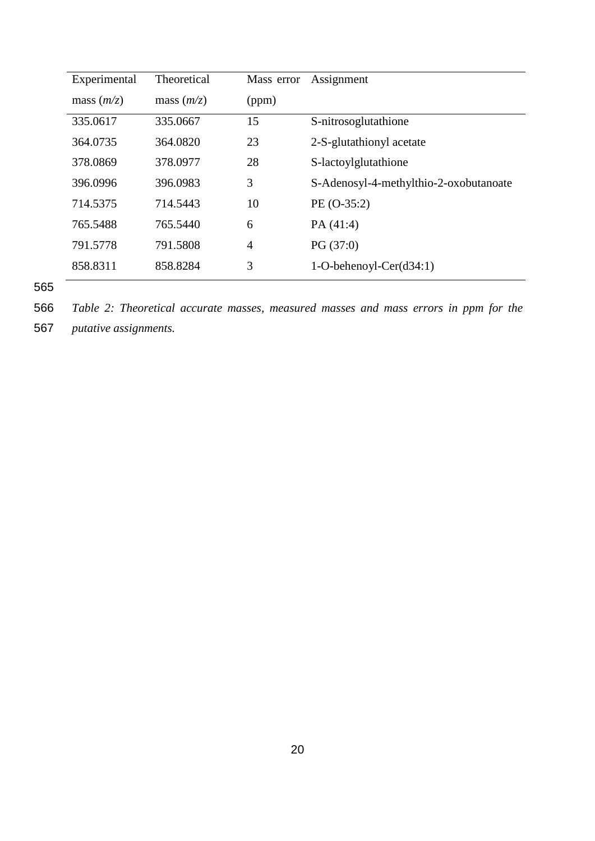| Experimental | Theoretical  | Mass error     | Assignment                             |
|--------------|--------------|----------------|----------------------------------------|
| mass $(m/z)$ | mass $(m/z)$ | (ppm)          |                                        |
| 335.0617     | 335.0667     | 15             | S-nitrosoglutathione                   |
| 364.0735     | 364.0820     | 23             | 2-S-glutathionyl acetate               |
| 378.0869     | 378.0977     | 28             | S-lactoylglutathione                   |
| 396.0996     | 396.0983     | 3              | S-Adenosyl-4-methylthio-2-oxobutanoate |
| 714.5375     | 714.5443     | 10             | $PE (O-35:2)$                          |
| 765.5488     | 765.5440     | 6              | PA $(41:4)$                            |
| 791.5778     | 791.5808     | $\overline{4}$ | PG(37:0)                               |
| 858.8311     | 858.8284     | 3              | $1-O-behenv1-Cer(d34:1)$               |
|              |              |                |                                        |

566 *Table 2: Theoretical accurate masses, measured masses and mass errors in ppm for the* 

567 *putative assignments.*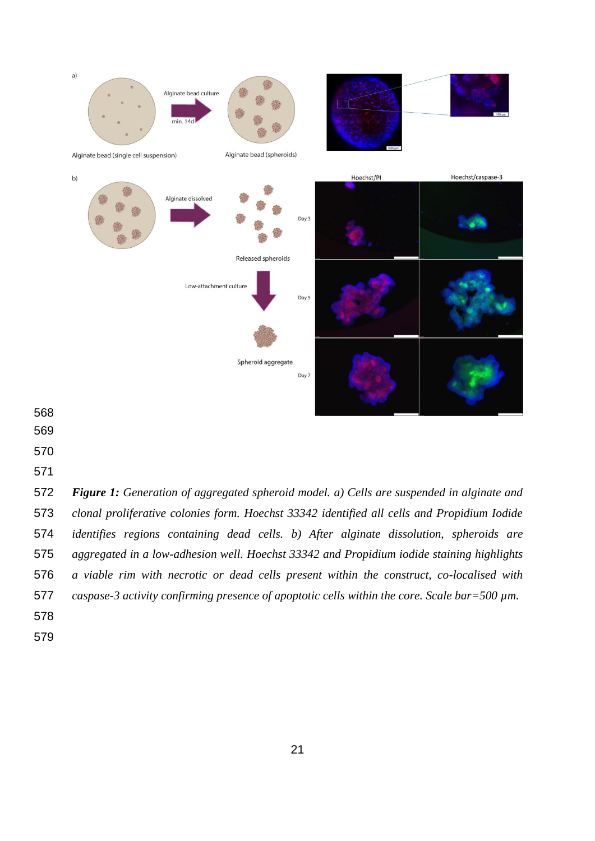

- 
- 
- 

 *Figure 1: Generation of aggregated spheroid model. a) Cells are suspended in alginate and clonal proliferative colonies form. Hoechst 33342 identified all cells and Propidium Iodide identifies regions containing dead cells. b) After alginate dissolution, spheroids are aggregated in a low-adhesion well. Hoechst 33342 and Propidium iodide staining highlights a viable rim with necrotic or dead cells present within the construct, co-localised with caspase-3 activity confirming presence of apoptotic cells within the core. Scale bar=500 µm.*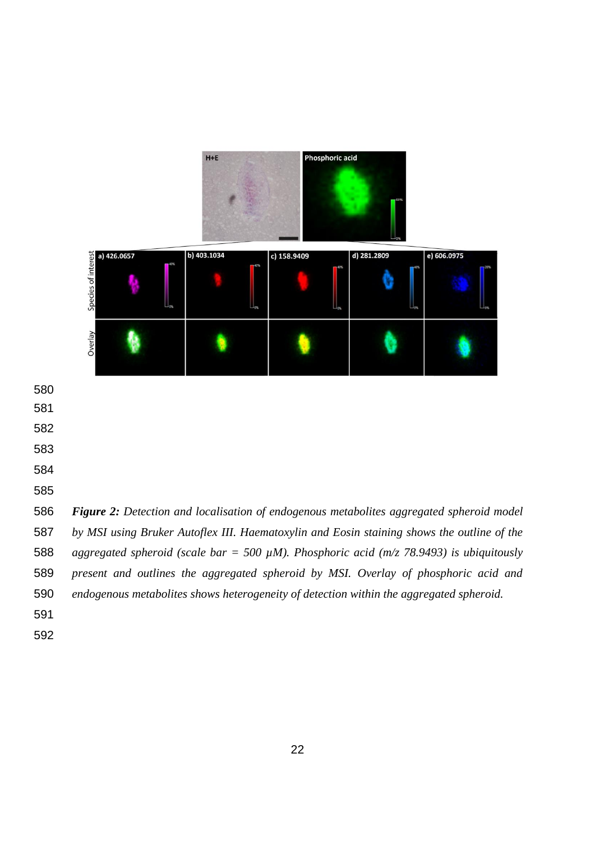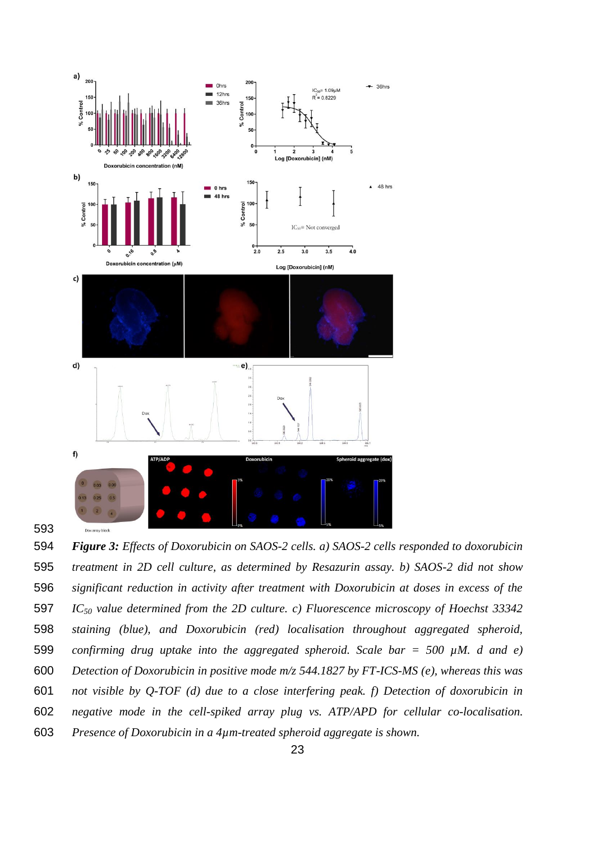

 *Figure 3: Effects of Doxorubicin on SAOS-2 cells. a) SAOS-2 cells responded to doxorubicin treatment in 2D cell culture, as determined by Resazurin assay. b) SAOS-2 did not show significant reduction in activity after treatment with Doxorubicin at doses in excess of the IC<sup>50</sup> value determined from the 2D culture. c) Fluorescence microscopy of Hoechst 33342 staining (blue), and Doxorubicin (red) localisation throughout aggregated spheroid, confirming drug uptake into the aggregated spheroid. Scale bar = 500 µM. d and e) Detection of Doxorubicin in positive mode m/z 544.1827 by FT-ICS-MS (e), whereas this was not visible by Q-TOF (d) due to a close interfering peak. f) Detection of doxorubicin in negative mode in the cell-spiked array plug vs. ATP/APD for cellular co-localisation. Presence of Doxorubicin in a 4µm-treated spheroid aggregate is shown.*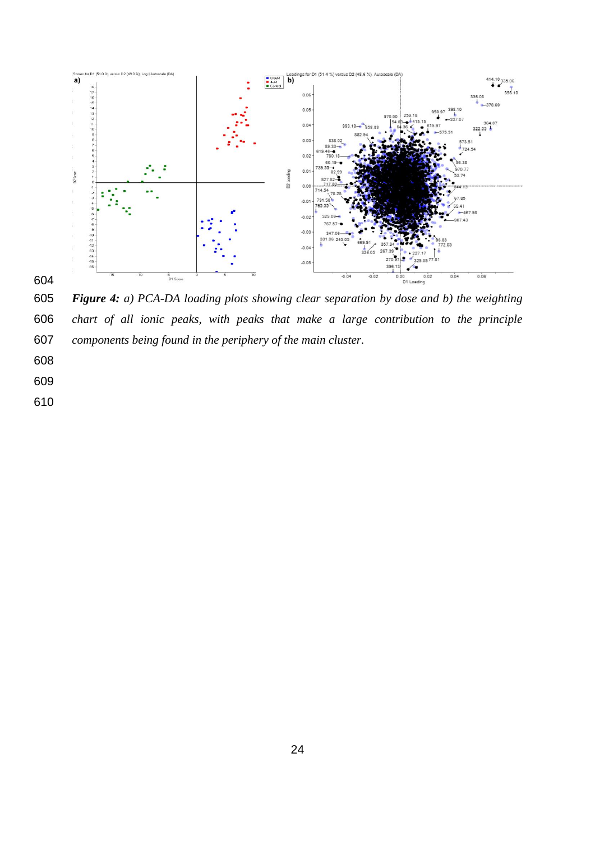

 *Figure 4: a) PCA-DA loading plots showing clear separation by dose and b) the weighting chart of all ionic peaks, with peaks that make a large contribution to the principle components being found in the periphery of the main cluster.* 

- 
-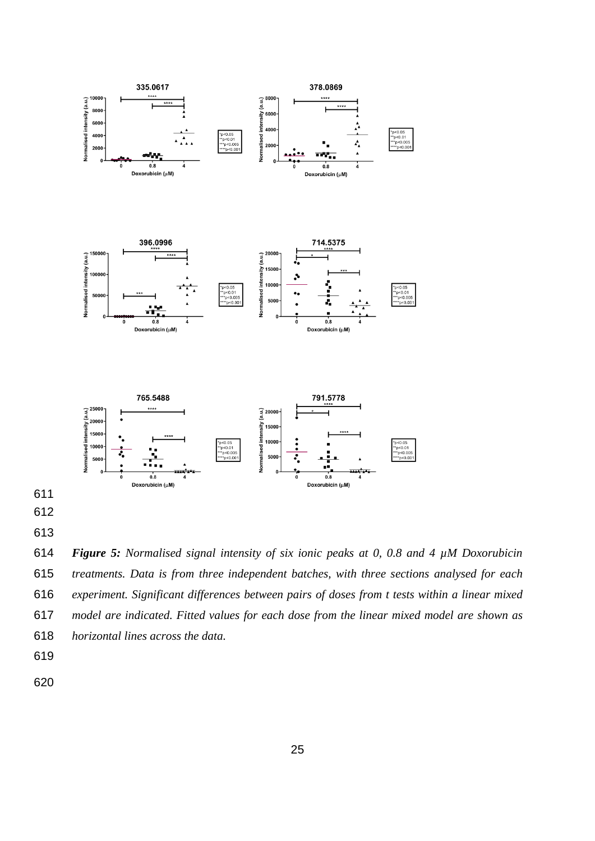

 *treatments. Data is from three independent batches, with three sections analysed for each experiment. Significant differences between pairs of doses from t tests within a linear mixed model are indicated. Fitted values for each dose from the linear mixed model are shown as horizontal lines across the data.*